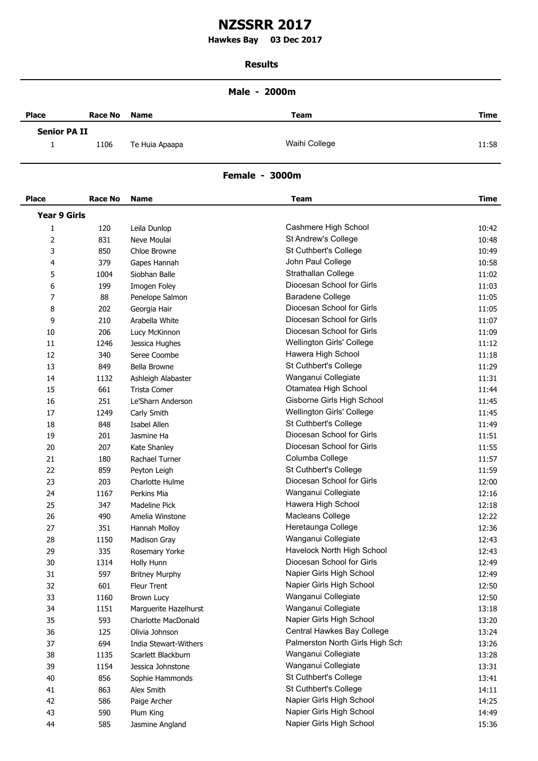# **NZSSRR 2017**

**Hawkes Bay 03 Dec 2017 .**

#### **Results**

### **Male - 2000m**

| <b>Place</b>        | <b>Race No</b> | <b>Name</b>    | <b>Team</b>   | <b>Time</b> |
|---------------------|----------------|----------------|---------------|-------------|
| <b>Senior PA II</b> |                |                |               |             |
|                     | 1106           | Te Huia Apaapa | Waihi College | 11:58       |

## **Female - 3000m**

| <b>Place</b>        | <b>Race No</b> | <b>Name</b>                | <b>Team</b>                     | <b>Time</b> |
|---------------------|----------------|----------------------------|---------------------------------|-------------|
| <b>Year 9 Girls</b> |                |                            |                                 |             |
| 1                   | 120            | Leila Dunlop               | Cashmere High School            | 10:42       |
| 2                   | 831            | Neve Moulai                | St Andrew's College             | 10:48       |
| 3                   | 850            | Chloe Browne               | St Cuthbert's College           | 10:49       |
| 4                   | 379            | Gapes Hannah               | John Paul College               | 10:58       |
| 5                   | 1004           | Siobhan Balle              | Strathallan College             | 11:02       |
| 6                   | 199            | Imogen Foley               | Diocesan School for Girls       | 11:03       |
| 7                   | 88             | Penelope Salmon            | <b>Baradene College</b>         | 11:05       |
| 8                   | 202            | Georgia Hair               | Diocesan School for Girls       | 11:05       |
| 9                   | 210            | Arabella White             | Diocesan School for Girls       | 11:07       |
| 10                  | 206            | Lucy McKinnon              | Diocesan School for Girls       | 11:09       |
| 11                  | 1246           | Jessica Hughes             | Wellington Girls' College       | 11:12       |
| 12                  | 340            | Seree Coombe               | Hawera High School              | 11:18       |
| 13                  | 849            | Bella Browne               | St Cuthbert's College           | 11:29       |
| 14                  | 1132           | Ashleigh Alabaster         | Wanganui Collegiate             | 11:31       |
| 15                  | 661            | <b>Trista Comer</b>        | Otamatea High School            | 11:44       |
| 16                  | 251            | Le'Sharn Anderson          | Gisborne Girls High School      | 11:45       |
| 17                  | 1249           | Carly Smith                | Wellington Girls' College       | 11:45       |
| 18                  | 848            | Isabel Allen               | St Cuthbert's College           | 11:49       |
| 19                  | 201            | Jasmine Ha                 | Diocesan School for Girls       | 11:51       |
| 20                  | 207            | Kate Shanley               | Diocesan School for Girls       | 11:55       |
| 21                  | 180            | Rachael Turner             | Columba College                 | 11:57       |
| 22                  | 859            | Peyton Leigh               | St Cuthbert's College           | 11:59       |
| 23                  | 203            | Charlotte Hulme            | Diocesan School for Girls       | 12:00       |
| 24                  | 1167           | Perkins Mia                | Wanganui Collegiate             | 12:16       |
| 25                  | 347            | Madeline Pick              | Hawera High School              | 12:18       |
| 26                  | 490            | Amelia Winstone            | Macleans College                | 12:22       |
| 27                  | 351            | Hannah Molloy              | Heretaunga College              | 12:36       |
| 28                  | 1150           | Madison Gray               | Wanganui Collegiate             | 12:43       |
| 29                  | 335            | Rosemary Yorke             | Havelock North High School      | 12:43       |
| 30                  | 1314           | Holly Hunn                 | Diocesan School for Girls       | 12:49       |
| 31                  | 597            | <b>Britney Murphy</b>      | Napier Girls High School        | 12:49       |
| 32                  | 601            | Fleur Trent                | Napier Girls High School        | 12:50       |
| 33                  | 1160           | Brown Lucy                 | Wanganui Collegiate             | 12:50       |
| 34                  | 1151           | Marguerite Hazelhurst      | Wanganui Collegiate             | 13:18       |
| 35                  | 593            | <b>Charlotte MacDonald</b> | Napier Girls High School        | 13:20       |
| 36                  | 125            | Olivia Johnson             | Central Hawkes Bay College      | 13:24       |
| 37                  | 694            | India Stewart-Withers      | Palmerston North Girls High Sch | 13:26       |
| 38                  | 1135           | Scarlett Blackburn         | Wanganui Collegiate             | 13:28       |
| 39                  | 1154           | Jessica Johnstone          | Wanganui Collegiate             | 13:31       |
| 40                  | 856            | Sophie Hammonds            | St Cuthbert's College           | 13:41       |
| 41                  | 863            | Alex Smith                 | St Cuthbert's College           | 14:11       |
| 42                  | 586            | Paige Archer               | Napier Girls High School        | 14:25       |
| 43                  | 590            | Plum King                  | Napier Girls High School        | 14:49       |
| 44                  | 585            | Jasmine Angland            | Napier Girls High School        | 15:36       |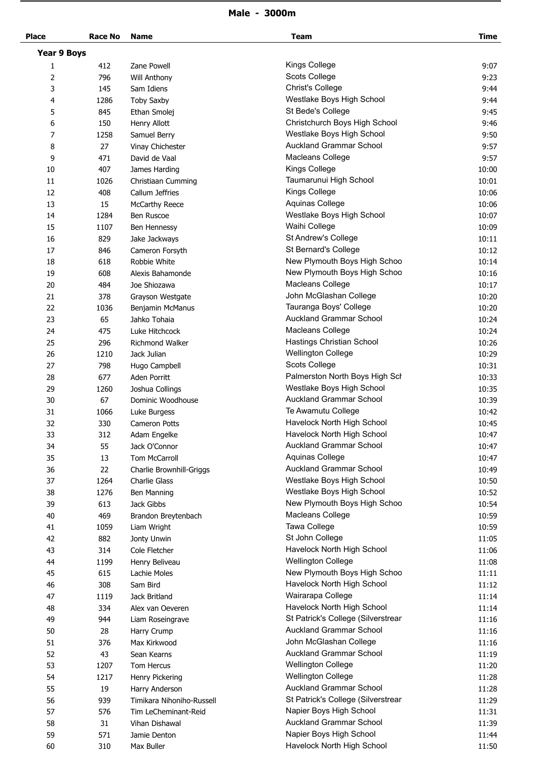## **Male - 3000m**

| <b>Place</b>       | <b>Race No</b> | <b>Name</b>               | <b>Team</b>                        | <b>Time</b> |
|--------------------|----------------|---------------------------|------------------------------------|-------------|
| <b>Year 9 Boys</b> |                |                           |                                    |             |
| 1                  | 412            | Zane Powell               | Kings College                      | 9:07        |
| 2                  | 796            | Will Anthony              | Scots College                      | 9:23        |
| 3                  | 145            | Sam Idiens                | <b>Christ's College</b>            | 9:44        |
| 4                  | 1286           | <b>Toby Saxby</b>         | Westlake Boys High School          | 9:44        |
| 5                  | 845            | Ethan Smolej              | St Bede's College                  | 9:45        |
| 6                  | 150            | Henry Allott              | Christchurch Boys High School      | 9:46        |
| 7                  | 1258           | Samuel Berry              | Westlake Boys High School          | 9:50        |
| 8                  | 27             | Vinay Chichester          | Auckland Grammar School            | 9:57        |
| 9                  | 471            | David de Vaal             | Macleans College                   | 9:57        |
| 10                 | 407            | James Harding             | Kings College                      | 10:00       |
| 11                 | 1026           | Christiaan Cumming        | Taumarunui High School             | 10:01       |
| 12                 | 408            | Callum Jeffries           | Kings College                      | 10:06       |
| 13                 | 15             | <b>McCarthy Reece</b>     | Aquinas College                    | 10:06       |
| 14                 | 1284           | <b>Ben Ruscoe</b>         | Westlake Boys High School          | 10:07       |
|                    |                |                           |                                    |             |
| 15                 | 1107           | Ben Hennessy              | Waihi College                      | 10:09       |
| 16                 | 829            | Jake Jackways             | St Andrew's College                | 10:11       |
| 17                 | 846            | Cameron Forsyth           | St Bernard's College               | 10:12       |
| 18                 | 618            | Robbie White              | New Plymouth Boys High Schoo       | 10:14       |
| 19                 | 608            | Alexis Bahamonde          | New Plymouth Boys High Schoo       | 10:16       |
| 20                 | 484            | Joe Shiozawa              | Macleans College                   | 10:17       |
| 21                 | 378            | Grayson Westgate          | John McGlashan College             | 10:20       |
| 22                 | 1036           | Benjamin McManus          | Tauranga Boys' College             | 10:20       |
| 23                 | 65             | Jahko Tohaia              | <b>Auckland Grammar School</b>     | 10:24       |
| 24                 | 475            | Luke Hitchcock            | Macleans College                   | 10:24       |
| 25                 | 296            | Richmond Walker           | Hastings Christian School          | 10:26       |
| 26                 | 1210           | Jack Julian               | Wellington College                 | 10:29       |
| 27                 | 798            | Hugo Campbell             | Scots College                      | 10:31       |
| 28                 | 677            | Aden Porritt              | Palmerston North Boys High Sch     | 10:33       |
| 29                 | 1260           | Joshua Collings           | Westlake Boys High School          | 10:35       |
| 30                 | 67             | Dominic Woodhouse         | <b>Auckland Grammar School</b>     | 10:39       |
| 31                 | 1066           | Luke Burgess              | Te Awamutu College                 | 10:42       |
| 32                 | 330            | Cameron Potts             | Havelock North High School         | 10:45       |
| 33                 | 312            | Adam Engelke              | Havelock North High School         | 10:47       |
| 34                 | 55             | Jack O'Connor             | Auckland Grammar School            | 10:47       |
| 35                 | 13             | Tom McCarroll             | Aquinas College                    | 10:47       |
| 36                 | 22             | Charlie Brownhill-Griggs  | <b>Auckland Grammar School</b>     | 10:49       |
| 37                 | 1264           | <b>Charlie Glass</b>      | Westlake Boys High School          | 10:50       |
| 38                 | 1276           | Ben Manning               | Westlake Boys High School          | 10:52       |
| 39                 | 613            | Jack Gibbs                | New Plymouth Boys High Schoo       | 10:54       |
| 40                 | 469            | Brandon Breytenbach       | Macleans College                   | 10:59       |
| 41                 | 1059           | Liam Wright               | Tawa College                       | 10:59       |
| 42                 | 882            | Jonty Unwin               | St John College                    | 11:05       |
| 43                 | 314            | Cole Fletcher             | Havelock North High School         | 11:06       |
| 44                 | 1199           | Henry Beliveau            | <b>Wellington College</b>          | 11:08       |
| 45                 | 615            | Lachie Moles              | New Plymouth Boys High Schoo       | 11:11       |
| 46                 | 308            | Sam Bird                  | Havelock North High School         | 11:12       |
| 47                 | 1119           | Jack Britland             | Wairarapa College                  | 11:14       |
| 48                 | 334            | Alex van Oeveren          | Havelock North High School         | 11:14       |
| 49                 | 944            | Liam Roseingrave          | St Patrick's College (Silverstrear | 11:16       |
| 50                 | 28             | Harry Crump               | Auckland Grammar School            | 11:16       |
| 51                 | 376            | Max Kirkwood              | John McGlashan College             | 11:16       |
|                    |                |                           | Auckland Grammar School            |             |
| 52                 | 43             | Sean Kearns               |                                    | 11:19       |
| 53                 | 1207           | Tom Hercus                | <b>Wellington College</b>          | 11:20       |
| 54                 | 1217           | Henry Pickering           | <b>Wellington College</b>          | 11:28       |
| 55                 | 19             | Harry Anderson            | Auckland Grammar School            | 11:28       |
| 56                 | 939            | Timikara Nihoniho-Russell | St Patrick's College (Silverstrear | 11:29       |
| 57                 | 576            | Tim LeCheminant-Reid      | Napier Boys High School            | 11:31       |
| 58                 | 31             | Vihan Dishawal            | <b>Auckland Grammar School</b>     | 11:39       |
| 59                 | 571            | Jamie Denton              | Napier Boys High School            | 11:44       |
| 60                 | 310            | Max Buller                | Havelock North High School         | 11:50       |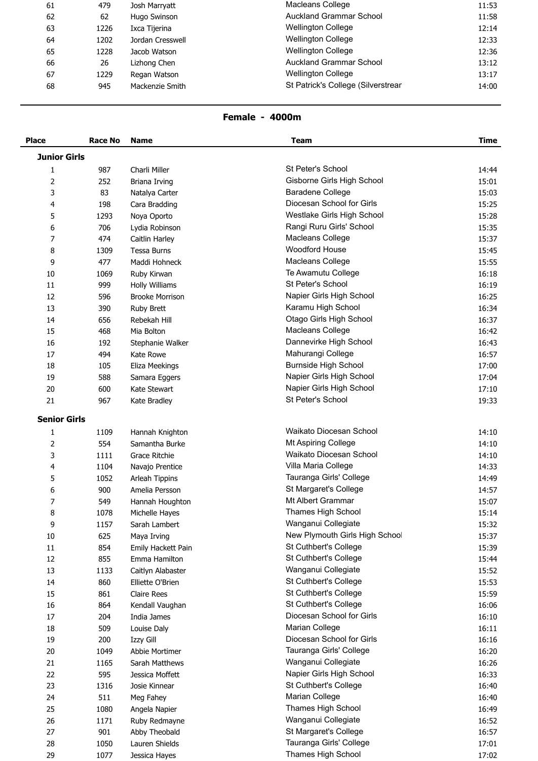| 61 | 479  | Josh Marryatt    | Macleans College                   | 11:53 |
|----|------|------------------|------------------------------------|-------|
| 62 | 62   | Hugo Swinson     | <b>Auckland Grammar School</b>     | 11:58 |
| 63 | 1226 | Ixca Tijerina    | <b>Wellington College</b>          | 12:14 |
| 64 | 1202 | Jordan Cresswell | <b>Wellington College</b>          | 12:33 |
| 65 | 1228 | Jacob Watson     | <b>Wellington College</b>          | 12:36 |
| 66 | 26   | Lizhong Chen     | <b>Auckland Grammar School</b>     | 13:12 |
| 67 | 1229 | Regan Watson     | <b>Wellington College</b>          | 13:17 |
| 68 | 945  | Mackenzie Smith  | St Patrick's College (Silverstrear | 14:00 |
|    |      |                  |                                    |       |

## **Female - 4000m**

| <b>Place</b>        | <b>Race No</b> | <b>Name</b>            | <b>Team</b>                    | <b>Time</b> |
|---------------------|----------------|------------------------|--------------------------------|-------------|
| <b>Junior Girls</b> |                |                        |                                |             |
| 1                   | 987            | Charli Miller          | St Peter's School              | 14:44       |
| 2                   | 252            | Briana Irving          | Gisborne Girls High School     | 15:01       |
| 3                   | 83             | Natalya Carter         | Baradene College               | 15:03       |
| 4                   | 198            | Cara Bradding          | Diocesan School for Girls      | 15:25       |
| 5                   | 1293           | Noya Oporto            | Westlake Girls High School     | 15:28       |
| 6                   | 706            | Lydia Robinson         | Rangi Ruru Girls' School       | 15:35       |
| 7                   | 474            | Caitlin Harley         | Macleans College               | 15:37       |
| 8                   | 1309           | Tessa Burns            | <b>Woodford House</b>          | 15:45       |
| 9                   | 477            | Maddi Hohneck          | Macleans College               | 15:55       |
| 10                  | 1069           | Ruby Kirwan            | Te Awamutu College             | 16:18       |
| 11                  | 999            | Holly Williams         | St Peter's School              | 16:19       |
| 12                  | 596            | <b>Brooke Morrison</b> | Napier Girls High School       | 16:25       |
| 13                  | 390            | <b>Ruby Brett</b>      | Karamu High School             | 16:34       |
| 14                  | 656            | Rebekah Hill           | Otago Girls High School        | 16:37       |
| 15                  | 468            | Mia Bolton             | Macleans College               | 16:42       |
| 16                  | 192            | Stephanie Walker       | Dannevirke High School         | 16:43       |
|                     |                |                        | Mahurangi College              |             |
| 17                  | 494            | Kate Rowe              | <b>Burnside High School</b>    | 16:57       |
| 18                  | 105            | Eliza Meekings         | Napier Girls High School       | 17:00       |
| 19                  | 588            | Samara Eggers          |                                | 17:04       |
| 20                  | 600            | Kate Stewart           | Napier Girls High School       | 17:10       |
| 21                  | 967            | Kate Bradley           | St Peter's School              | 19:33       |
| <b>Senior Girls</b> |                |                        |                                |             |
| 1                   | 1109           | Hannah Knighton        | Waikato Diocesan School        | 14:10       |
| $\overline{2}$      | 554            | Samantha Burke         | Mt Aspiring College            | 14:10       |
| 3                   | 1111           | Grace Ritchie          | Waikato Diocesan School        | 14:10       |
| 4                   | 1104           | Navajo Prentice        | Villa Maria College            | 14:33       |
| 5                   | 1052           | Arleah Tippins         | Tauranga Girls' College        | 14:49       |
| 6                   | 900            | Amelia Persson         | St Margaret's College          | 14:57       |
| 7                   | 549            | Hannah Houghton        | Mt Albert Grammar              | 15:07       |
| 8                   | 1078           | Michelle Hayes         | Thames High School             | 15:14       |
| 9                   | 1157           | Sarah Lambert          | Wanganui Collegiate            | 15:32       |
| 10                  | 625            | Maya Irving            | New Plymouth Girls High School | 15:37       |
| 11                  | 854            | Emily Hackett Pain     | St Cuthbert's College          | 15:39       |
| 12                  | 855            | Emma Hamilton          | St Cuthbert's College          | 15:44       |
| 13                  | 1133           | Caitlyn Alabaster      | Wanganui Collegiate            | 15:52       |
| 14                  | 860            | Elliette O'Brien       | St Cuthbert's College          | 15:53       |
| 15                  | 861            | Claire Rees            | St Cuthbert's College          | 15:59       |
| 16                  | 864            | Kendall Vaughan        | St Cuthbert's College          | 16:06       |
| $17\,$              | 204            | India James            | Diocesan School for Girls      | 16:10       |
| $18\,$              | 509            | Louise Daly            | Marian College                 | 16:11       |
| 19                  | 200            | Izzy Gill              | Diocesan School for Girls      | 16:16       |
| $20\,$              | 1049           | Abbie Mortimer         | Tauranga Girls' College        | 16:20       |
| 21                  | 1165           | Sarah Matthews         | Wanganui Collegiate            | 16:26       |
| 22                  | 595            | Jessica Moffett        | Napier Girls High School       | 16:33       |
| 23                  | 1316           | Josie Kinnear          | St Cuthbert's College          | 16:40       |
| 24                  | 511            | Meg Fahey              | Marian College                 | 16:40       |
| 25                  | 1080           | Angela Napier          | Thames High School             | 16:49       |
| 26                  | 1171           | Ruby Redmayne          | Wanganui Collegiate            | 16:52       |
| 27                  | 901            | Abby Theobald          | St Margaret's College          | 16:57       |
| 28                  | 1050           | Lauren Shields         | Tauranga Girls' College        | 17:01       |
| 29                  | 1077           | Jessica Hayes          | Thames High School             | 17:02       |
|                     |                |                        |                                |             |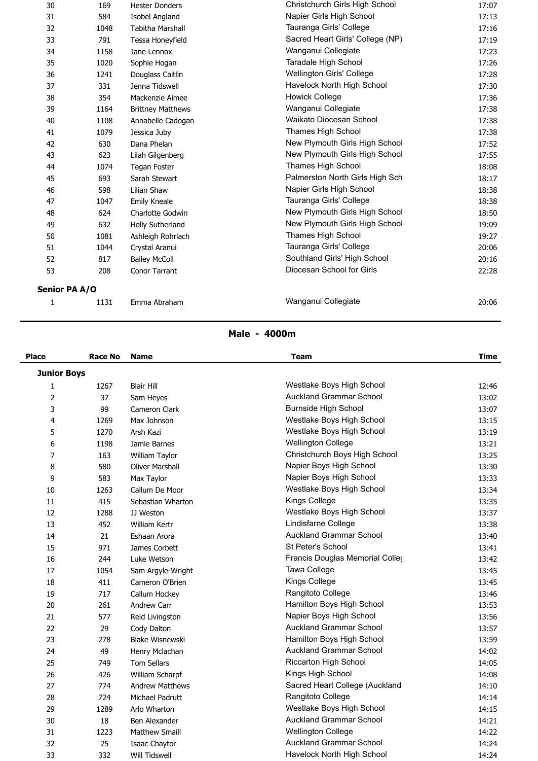| 30            | 169  | <b>Hester Donders</b>    | Christchurch Girls High School   | 17:07 |
|---------------|------|--------------------------|----------------------------------|-------|
| 31            | 584  | Isobel Angland           | Napier Girls High School         | 17:13 |
| 32            | 1048 | <b>Tabitha Marshall</b>  | Tauranga Girls' College          | 17:16 |
| 33            | 791  | Tessa Honeyfield         | Sacred Heart Girls' College (NP) | 17:19 |
| 34            | 1158 | Jane Lennox              | Wanganui Collegiate              | 17:23 |
| 35            | 1020 | Sophie Hogan             | Taradale High School             | 17:26 |
| 36            | 1241 | Douglass Caitlin         | Wellington Girls' College        | 17:28 |
| 37            | 331  | Jenna Tidswell           | Havelock North High School       | 17:30 |
| 38            | 354  | Mackenzie Aimee          | <b>Howick College</b>            | 17:36 |
| 39            | 1164 | <b>Brittney Matthews</b> | Wanganui Collegiate              | 17:38 |
| 40            | 1108 | Annabelle Cadogan        | Waikato Diocesan School          | 17:38 |
| 41            | 1079 | Jessica Juby             | Thames High School               | 17:38 |
| 42            | 630  | Dana Phelan              | New Plymouth Girls High School   | 17:52 |
| 43            | 623  | Lilah Gilgenberg         | New Plymouth Girls High School   | 17:55 |
| 44            | 1074 | <b>Tegan Foster</b>      | Thames High School               | 18:08 |
| 45            | 693  | Sarah Stewart            | Palmerston North Girls High Sch  | 18:17 |
| 46            | 598  | Lilian Shaw              | Napier Girls High School         | 18:38 |
| 47            | 1047 | Emily Kneale             | Tauranga Girls' College          | 18:38 |
| 48            | 624  | Charlotte Godwin         | New Plymouth Girls High School   | 18:50 |
| 49            | 632  | Holly Sutherland         | New Plymouth Girls High School   | 19:09 |
| 50            | 1081 | Ashleigh Rohrlach        | Thames High School               | 19:27 |
| 51            | 1044 | Crystal Aranui           | Tauranga Girls' College          | 20:06 |
| 52            | 817  | <b>Bailey McColl</b>     | Southland Girls' High School     | 20:16 |
| 53            | 208  | Conor Tarrant            | Diocesan School for Girls        | 22:28 |
| Senior PA A/O |      |                          |                                  |       |
|               | 1131 | Emma Abraham             | Wanganui Collegiate              | 20:06 |
|               |      |                          |                                  |       |

#### **Male - 4000m**

| <b>Place</b>       | <b>Race No</b> | <b>Name</b>            | <b>Team</b>                     | <b>Time</b> |
|--------------------|----------------|------------------------|---------------------------------|-------------|
| <b>Junior Boys</b> |                |                        |                                 |             |
| 1                  | 1267           | <b>Blair Hill</b>      | Westlake Boys High School       | 12:46       |
| $\overline{2}$     | 37             | Sam Heyes              | <b>Auckland Grammar School</b>  | 13:02       |
| 3                  | 99             | Cameron Clark          | <b>Burnside High School</b>     | 13:07       |
| 4                  | 1269           | Max Johnson            | Westlake Boys High School       | 13:15       |
| 5                  | 1270           | Arsh Kazi              | Westlake Boys High School       | 13:19       |
| 6                  | 1198           | Jamie Barnes           | <b>Wellington College</b>       | 13:21       |
| $\overline{7}$     | 163            | William Taylor         | Christchurch Boys High School   | 13:25       |
| 8                  | 580            | <b>Oliver Marshall</b> | Napier Boys High School         | 13:30       |
| 9                  | 583            | Max Taylor             | Napier Boys High School         | 13:33       |
| 10                 | 1263           | Callum De Moor         | Westlake Boys High School       | 13:34       |
| 11                 | 415            | Sebastian Wharton      | Kings College                   | 13:35       |
| 12                 | 1288           | JJ Weston              | Westlake Boys High School       | 13:37       |
| 13                 | 452            | William Kertr          | Lindisfarne College             | 13:38       |
| 14                 | 21             | Eshaan Arora           | <b>Auckland Grammar School</b>  | 13:40       |
| 15                 | 971            | James Corbett          | St Peter's School               | 13:41       |
| 16                 | 244            | Luke Wetson            | Francis Douglas Memorial Coller | 13:42       |
| 17                 | 1054           | Sam Argyle-Wright      | Tawa College                    | 13:45       |
| 18                 | 411            | Cameron O'Brien        | Kings College                   | 13:45       |
| 19                 | 717            | Callum Hockey          | Rangitoto College               | 13:46       |
| 20                 | 261            | Andrew Carr            | Hamilton Boys High School       | 13:53       |
| 21                 | 577            | Reid Livingston        | Napier Boys High School         | 13:56       |
| 22                 | 29             | Cody Dalton            | <b>Auckland Grammar School</b>  | 13:57       |
| 23                 | 278            | <b>Blake Wisnewski</b> | Hamilton Boys High School       | 13:59       |
| 24                 | 49             | Henry Mclachan         | <b>Auckland Grammar School</b>  | 14:02       |
| 25                 | 749            | <b>Tom Sellars</b>     | Riccarton High School           | 14:05       |
| 26                 | 426            | William Scharpf        | Kings High School               | 14:08       |
| 27                 | 774            | <b>Andrew Matthews</b> | Sacred Heart College (Auckland  | 14:10       |
| 28                 | 724            | Michael Padrutt        | Rangitoto College               | 14:14       |
| 29                 | 1289           | Arlo Wharton           | Westlake Boys High School       | 14:15       |
| 30                 | 18             | Ben Alexander          | <b>Auckland Grammar School</b>  | 14:21       |
| 31                 | 1223           | <b>Matthew Smaill</b>  | <b>Wellington College</b>       | 14:22       |
| 32                 | 25             | Isaac Chaytor          | <b>Auckland Grammar School</b>  | 14:24       |
| 33                 | 332            | <b>Will Tidswell</b>   | Havelock North High School      | 14:24       |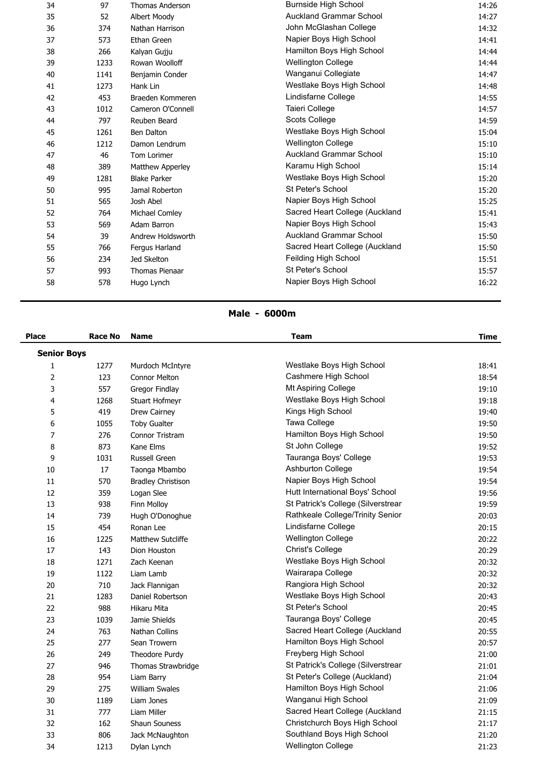| 34 | 97   | <b>Thomas Anderson</b> | <b>Burnside High School</b>    | 14:26 |
|----|------|------------------------|--------------------------------|-------|
| 35 | 52   | Albert Moody           | <b>Auckland Grammar School</b> | 14:27 |
| 36 | 374  | Nathan Harrison        | John McGlashan College         | 14:32 |
| 37 | 573  | Ethan Green            | Napier Boys High School        | 14:41 |
| 38 | 266  | Kalyan Gujju           | Hamilton Boys High School      | 14:44 |
| 39 | 1233 | Rowan Woolloff         | <b>Wellington College</b>      | 14:44 |
| 40 | 1141 | Benjamin Conder        | Wanganui Collegiate            | 14:47 |
| 41 | 1273 | Hank Lin               | Westlake Boys High School      | 14:48 |
| 42 | 453  | Braeden Kommeren       | Lindisfarne College            | 14:55 |
| 43 | 1012 | Cameron O'Connell      | Taieri College                 | 14:57 |
| 44 | 797  | Reuben Beard           | Scots College                  | 14:59 |
| 45 | 1261 | Ben Dalton             | Westlake Boys High School      | 15:04 |
| 46 | 1212 | Damon Lendrum          | <b>Wellington College</b>      | 15:10 |
| 47 | 46   | Tom Lorimer            | <b>Auckland Grammar School</b> | 15:10 |
| 48 | 389  | Matthew Apperley       | Karamu High School             | 15:14 |
| 49 | 1281 | <b>Blake Parker</b>    | Westlake Boys High School      | 15:20 |
| 50 | 995  | Jamal Roberton         | St Peter's School              | 15:20 |
| 51 | 565  | Josh Abel              | Napier Boys High School        | 15:25 |
| 52 | 764  | Michael Comley         | Sacred Heart College (Auckland | 15:41 |
| 53 | 569  | Adam Barron            | Napier Boys High School        | 15:43 |
| 54 | 39   | Andrew Holdsworth      | <b>Auckland Grammar School</b> | 15:50 |
| 55 | 766  | Fergus Harland         | Sacred Heart College (Auckland | 15:50 |
| 56 | 234  | Jed Skelton            | Feilding High School           | 15:51 |
| 57 | 993  | <b>Thomas Pienaar</b>  | St Peter's School              | 15:57 |
| 58 | 578  | Hugo Lynch             | Napier Boys High School        | 16:22 |
|    |      |                        |                                |       |

#### **Male - 6000m**

| <b>Place</b>       | Race No | <b>Name</b>               | <b>Team</b>                        | <b>Time</b> |
|--------------------|---------|---------------------------|------------------------------------|-------------|
| <b>Senior Boys</b> |         |                           |                                    |             |
| 1                  | 1277    | Murdoch McIntyre          | Westlake Boys High School          | 18:41       |
| $\overline{2}$     | 123     | <b>Connor Melton</b>      | Cashmere High School               | 18:54       |
| 3                  | 557     | Gregor Findlay            | Mt Aspiring College                | 19:10       |
| 4                  | 1268    | Stuart Hofmeyr            | Westlake Boys High School          | 19:18       |
| 5                  | 419     | Drew Cairney              | Kings High School                  | 19:40       |
| 6                  | 1055    | <b>Toby Gualter</b>       | Tawa College                       | 19:50       |
| 7                  | 276     | Connor Tristram           | Hamilton Boys High School          | 19:50       |
| 8                  | 873     | Kane Elms                 | St John College                    | 19:52       |
| 9                  | 1031    | <b>Russell Green</b>      | Tauranga Boys' College             | 19:53       |
| 10                 | 17      | Taonga Mbambo             | Ashburton College                  | 19:54       |
| 11                 | 570     | <b>Bradley Christison</b> | Napier Boys High School            | 19:54       |
| 12                 | 359     | Logan Slee                | Hutt International Boys' School    | 19:56       |
| 13                 | 938     | Finn Molloy               | St Patrick's College (Silverstrear | 19:59       |
| 14                 | 739     | Hugh O'Donoghue           | Rathkeale College/Trinity Senior   | 20:03       |
| 15                 | 454     | Ronan Lee                 | Lindisfarne College                | 20:15       |
| 16                 | 1225    | <b>Matthew Sutcliffe</b>  | <b>Wellington College</b>          | 20:22       |
| 17                 | 143     | Dion Houston              | <b>Christ's College</b>            | 20:29       |
| 18                 | 1271    | Zach Keenan               | Westlake Boys High School          | 20:32       |
| 19                 | 1122    | Liam Lamb                 | Wairarapa College                  | 20:32       |
| 20                 | 710     | Jack Flannigan            | Rangiora High School               | 20:32       |
| 21                 | 1283    | Daniel Robertson          | Westlake Boys High School          | 20:43       |
| 22                 | 988     | Hikaru Mita               | St Peter's School                  | 20:45       |
| 23                 | 1039    | Jamie Shields             | Tauranga Boys' College             | 20:45       |
| 24                 | 763     | Nathan Collins            | Sacred Heart College (Auckland     | 20:55       |
| 25                 | 277     | Sean Trowern              | Hamilton Boys High School          | 20:57       |
| 26                 | 249     | Theodore Purdy            | Freyberg High School               | 21:00       |
| 27                 | 946     | Thomas Strawbridge        | St Patrick's College (Silverstrear | 21:01       |
| 28                 | 954     | Liam Barry                | St Peter's College (Auckland)      | 21:04       |
| 29                 | 275     | <b>William Swales</b>     | Hamilton Boys High School          | 21:06       |
| 30                 | 1189    | Liam Jones                | Wanganui High School               | 21:09       |
| 31                 | 777     | Liam Miller               | Sacred Heart College (Auckland     | 21:15       |
| 32                 | 162     | Shaun Souness             | Christchurch Boys High School      | 21:17       |
| 33                 | 806     | Jack McNaughton           | Southland Boys High School         | 21:20       |
| 34                 | 1213    | Dylan Lynch               | <b>Wellington College</b>          | 21:23       |